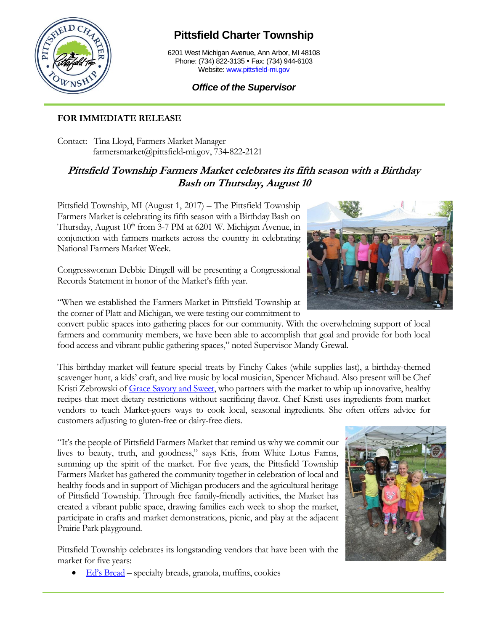

## **Pittsfield Charter Township**

6201 West Michigan Avenue, Ann Arbor, MI 48108 Phone: (734) 822-3135 • Fax: (734) 944-6103 Website[: www.pittsfield-mi.gov](http://www.pittsfield-mi.gov/)

## *Office of the Supervisor*

## **FOR IMMEDIATE RELEASE**

Contact: Tina Lloyd, Farmers Market Manager farmersmarket@pittsfield-mi.gov, 734-822-2121

## **Pittsfield Township Farmers Market celebrates its fifth season with a Birthday Bash on Thursday, August 10**

Pittsfield Township, MI (August 1, 2017) – The Pittsfield Township Farmers Market is celebrating its fifth season with a Birthday Bash on Thursday, August 10<sup>th</sup> from 3-7 PM at 6201 W. Michigan Avenue, in conjunction with farmers markets across the country in celebrating National Farmers Market Week.

Congresswoman Debbie Dingell will be presenting a Congressional Records Statement in honor of the Market's fifth year.

"When we established the Farmers Market in Pittsfield Township at the corner of Platt and Michigan, we were testing our commitment to

convert public spaces into gathering places for our community. With the overwhelming support of local farmers and community members, we have been able to accomplish that goal and provide for both local food access and vibrant public gathering spaces," noted Supervisor Mandy Grewal.

This birthday market will feature special treats by Finchy Cakes (while supplies last), a birthday-themed scavenger hunt, a kids' craft, and live music by local musician, Spencer Michaud. Also present will be Chef Kristi Zebrowski of [Grace Savory and Sweet,](http://www.gracesavorysweet.com/) who partners with the market to whip up innovative, healthy recipes that meet dietary restrictions without sacrificing flavor. Chef Kristi uses ingredients from market vendors to teach Market-goers ways to cook local, seasonal ingredients. She often offers advice for customers adjusting to gluten-free or dairy-free diets.

"It's the people of Pittsfield Farmers Market that remind us why we commit our lives to beauty, truth, and goodness," says Kris, from White Lotus Farms, summing up the spirit of the market. For five years, the Pittsfield Township Farmers Market has gathered the community together in celebration of local and healthy foods and in support of Michigan producers and the agricultural heritage of Pittsfield Township. Through free family-friendly activities, the Market has created a vibrant public space, drawing families each week to shop the market, participate in crafts and market demonstrations, picnic, and play at the adjacent Prairie Park playground.

Pittsfield Township celebrates its longstanding vendors that have been with the market for five years:

• [Ed's Bread](https://www.facebook.com/Eds-Bread-140055782693624/) – specialty breads, granola, muffins, cookies